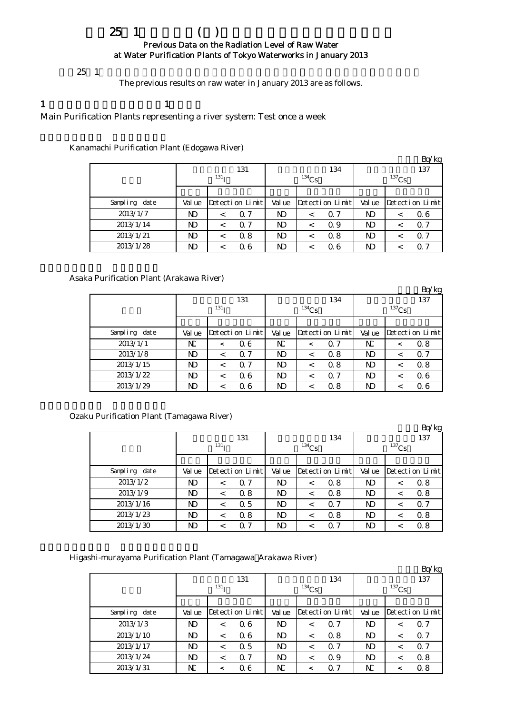# $25 \t1$  ( ) Previous Data on the Radiation Level of Raw Water at Water Purification Plants of Tokyo Waterworks in January 2013

 $25 \t1$ 

The previous results on raw water in January 2013 are as follows.

1  $\qquad \qquad$  1

Main Purification Plants representing a river system: Test once a week

Kanamachi Purification Plant (Edogawa River)

|               |        |                  |                 |        |          |                 |          |         | Bq/kg           |  |
|---------------|--------|------------------|-----------------|--------|----------|-----------------|----------|---------|-----------------|--|
|               |        |                  | 131             |        |          | 134             |          |         | 137             |  |
|               |        | 131 <sub>T</sub> |                 |        | $134$ Cs |                 | $137$ Cs |         |                 |  |
|               |        |                  |                 |        |          |                 |          |         |                 |  |
| Sampling date | Val ue |                  | Detection Limit | Val ue |          | Detection Limit | Val ue   |         | Detection Limit |  |
| 2013/1/7      | ND     | $\,<\,$          | 0.7             | ND     | $\,<\,$  | $\Omega$ 7      | ND       | $\,<\,$ | 06              |  |
| 2013/1/14     | ND     | $\,<\,$          | 0.7             | N)     | $\,<\,$  | Q 9             | ND       | <       | $\Omega$ 7      |  |
| 2013/1/21     | ND     | <                | 0.8             | ND     | $\,<\,$  | 0.8             | ND       | <       | Q 7             |  |
| 2013/1/28     | ND     |                  | Q 6             | ND     |          | 06              | ND       |         | Q 7             |  |

## Asaka Purification Plant (Arakawa River)

|               |        |                  |                 |        |          |                 |                 |         | Bq/kg           |  |
|---------------|--------|------------------|-----------------|--------|----------|-----------------|-----------------|---------|-----------------|--|
|               |        |                  | 131             |        |          | 134             | 137<br>$137$ Cs |         |                 |  |
|               |        | 131 <sub>T</sub> |                 |        | $134$ Cs |                 |                 |         |                 |  |
|               |        |                  |                 |        |          |                 |                 |         |                 |  |
| Sampling date | Val ue |                  | Detection Limit | Val ue |          | Detection Limit | Val ue          |         | Detection Limit |  |
| 2013/1/1      | N      | $\,<\,$          | $\alpha$ 6      | N      | $\,<\,$  | $\Omega$ 7      | N               | $\,<\,$ | 0.8             |  |
| 2013/1/8      | ND     | $\,<\,$          | 0.7             | ND     | ≺        | 0.8             | ND              | $\,<\,$ | $\Omega$ 7      |  |
| 2013/1/15     | ND     | $\,<\,$          | $\alpha$ 7      | ND     | ≺        | 0.8             | ND              | $\,<\,$ | 0.8             |  |
| 2013/1/22     | ND.    | $\,<\,$          | 06              | ND     | $\,<\,$  | $\Omega$ 7      | ND              | $\,<\,$ | 06              |  |
| 2013/1/29     | ND     |                  | 06              | ND     |          | 0.8             | ND              | $\,<\,$ | 06              |  |

Ozaku Purification Plant (Tamagawa River)

|               |              |                  |                 |          |         |                 |          |         | BQ/Kg           |
|---------------|--------------|------------------|-----------------|----------|---------|-----------------|----------|---------|-----------------|
|               |              |                  | 131             |          |         | 134             |          |         | 137             |
|               |              | 131 <sub>T</sub> |                 | $134$ Cs |         |                 | $137$ Cs |         |                 |
|               |              |                  |                 |          |         |                 |          |         |                 |
| Sampling date | Val ue       |                  | Detection Limit | Val ue   |         | Detection Limit | Val ue   |         | Detection Limit |
| 2013/1/2      | ND           | $\,<\,$          | 0.7             | ND.      | <       | 0.8             | ND       | $\,<\,$ | 0.8             |
| 2013/1/9      | ND.          | $\,<\,$          | 0.8             | ND.      | $\,<\,$ | 0.8             | ND       | $\,<\,$ | 0.8             |
| 2013/1/16     | ND           | $\,<\,$          | 0.5             | ND       | <       | 0.7             | ND       | $\,<\,$ | $\Omega$ 7      |
| 2013/1/23     | ND           |                  | 0.8             | ND       |         | 0.8             | ND       | <       | 0.8             |
| 2013/1/30     | $\mathbf{D}$ |                  | 0.7             | ND       |         | $\Omega$ 7      | ND       |         | 0.8             |

Higashi-murayama Purification Plant (Tamagawa Arakawa River)

|               |                |                  |        |                 |          | Bq/kg                 |  |  |
|---------------|----------------|------------------|--------|-----------------|----------|-----------------------|--|--|
|               |                | 131              |        | 134             |          | 137                   |  |  |
|               |                | 131 <sub>T</sub> |        | $134$ Cs        | $137$ Cs |                       |  |  |
|               |                |                  |        |                 |          |                       |  |  |
| Sampling date | Val ue         | Detection Limit  | Val ue | Detection Limit | Val ue   | Detection Limit       |  |  |
| 2013/1/3      | ND             | 06<br>$\,<\,$    | N)     | 0.7<br>$\,<\,$  | ND       | 0.7<br>$\,<\,$        |  |  |
| 2013/1/10     | $\mathbf{D}$   | 06<br>$\,<\,$    | ND     | 0.8<br><        | N)       | 0.7<br>$\,<\,$        |  |  |
| 2013/1/17     | N <sub>D</sub> | 0.5<br>$\,<\,$   | ND     | 0.7<br>$\,<\,$  | N)       | $\Omega$ 7<br>$\,<\,$ |  |  |
| 2013/1/24     | ND             | 0.7<br>$\,<\,$   | N)     | 0.9<br>$\,<\,$  | N)       | 0.8<br>$\,<\,$        |  |  |
| 2013/1/31     | N              | $\alpha$ 6<br><  | N      | $\Omega$ 7      | N        | 0.8<br>≺              |  |  |

 $Rq/kq$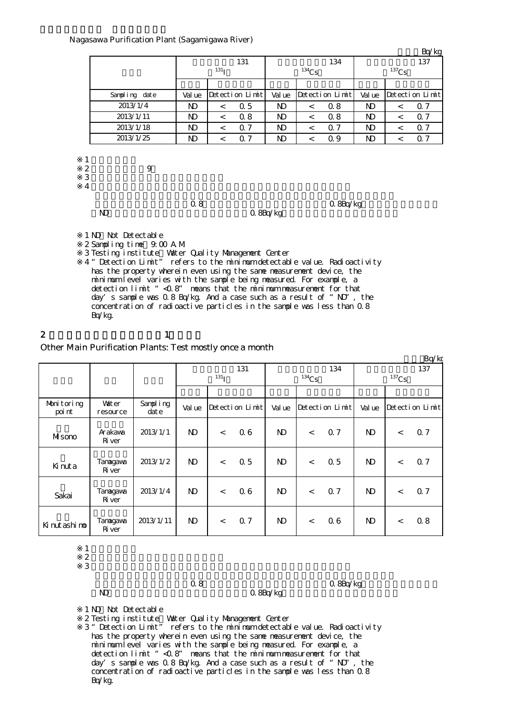### Nagasawa Purification Plant (Sagamigawa River)

|                                                                                                                                                                                                                                                                                                                                    |                |                        |                 |                |       |                 |                |          | Bq/kg           |  |  |
|------------------------------------------------------------------------------------------------------------------------------------------------------------------------------------------------------------------------------------------------------------------------------------------------------------------------------------|----------------|------------------------|-----------------|----------------|-------|-----------------|----------------|----------|-----------------|--|--|
|                                                                                                                                                                                                                                                                                                                                    |                |                        | 131             |                |       | 134             |                |          | 137             |  |  |
|                                                                                                                                                                                                                                                                                                                                    |                | $^{131}$ T             |                 |                | 134Cs |                 |                | $137$ Cs |                 |  |  |
|                                                                                                                                                                                                                                                                                                                                    |                |                        |                 |                |       |                 |                |          |                 |  |  |
| Sampling date                                                                                                                                                                                                                                                                                                                      | Val ue         |                        | Detection Limit | Val ue         |       | Detection Limit | Val ue         |          | Detection Limit |  |  |
| 2013/1/4                                                                                                                                                                                                                                                                                                                           | ND.            | $\lt$                  | 0.5             | ND.            | $\lt$ | 0.8             | ND.            | $\lt$    | 0.7             |  |  |
| 2013/1/11                                                                                                                                                                                                                                                                                                                          | N <sub>D</sub> | $\lt$                  | 0.8             | N <sub>D</sub> | $\lt$ | 0.8             | N <sub>D</sub> | $\lt$    | 0.7             |  |  |
| 2013/1/18                                                                                                                                                                                                                                                                                                                          | ND.            | $\lt$                  | 0.7             | ND.            | $\lt$ | 0.7             | ND.            | $\lt$    | 07              |  |  |
| 2013/1/25                                                                                                                                                                                                                                                                                                                          | ND.            | $\lt$                  | 0.7             | N <sub>D</sub> | $\lt$ | 0.9             | N)             | $\lt$    | 07              |  |  |
| $\boldsymbol{z}$<br>9<br>3<br>$\overline{4}$<br>N)                                                                                                                                                                                                                                                                                 | 0.8            | 0.8Bq/kg<br>$Q$ 8Bq/kg |                 |                |       |                 |                |          |                 |  |  |
| 1 ND Not Detectable<br>2 Sampling time 9:00 A M<br>3 Testing institute Water Quality Management Center<br>4 "Detection Limit" refers to the minimum detectable value. Radioactivity<br>has the property wherein even using the same measurement device, the<br>minimum level varies with the sample being measured. For example, a |                |                        |                 |                |       |                 |                |          |                 |  |  |

detection limit "<0.8" means that the minimum measurement for that day's sample was  $0.8$  Bq/kg. And a case such as a result of "ND", the concentration of radioactive particles in the sample was less than 0.8 Bq/kg.

2 and  $\lambda$  1

## Other Main Purification Plants: Test mostly once a month

|                      |                          |                   |              |            |                 |              |         |                 |              |            | Bq/kg           |  |
|----------------------|--------------------------|-------------------|--------------|------------|-----------------|--------------|---------|-----------------|--------------|------------|-----------------|--|
|                      |                          |                   |              |            | 131             |              |         | 134             |              |            | 137             |  |
|                      |                          |                   |              | $^{131}$ I |                 | $134$ Cs     |         |                 |              | $^{137}Cs$ |                 |  |
|                      |                          |                   |              |            |                 |              |         |                 |              |            |                 |  |
| Monitoring<br>poi nt | <b>Vater</b><br>resource | Sampling<br>dat e | Val ue       |            | Detection Limit | Val ue       |         | Detection Limit | Val ue       |            | Detection Limit |  |
| Misono               | Arakawa<br>Ri ver        | 2013/1/1          | $\mathbf{N}$ | $\lt$      | 06              | $\mathbf{N}$ | $\,<\,$ | 0.7             | $\mathbf{D}$ | $\,<$      | Q 7             |  |
| Kinuta               | Tanagawa<br>Ri ver       | 2013/1/2          | $\mathbf{N}$ | $\lt$      | 0.5             | $\mathbf{D}$ | $\,<\,$ | 0.5             | N)           | $\,<$      | <b>Q7</b>       |  |
| Sakai                | Tanagawa<br>Ri ver       | 2013/1/4          | $\mathbf{N}$ | $\lt$      | 0.6             | $\mathbf{N}$ | $\,<\,$ | Q <sub>7</sub>  | N)           | $\lt$      | <b>Q7</b>       |  |
| Ki nut ashi no       | Tanagawa<br>Ri ver       | 2013/1/11         | $\mathbf{N}$ | $\lt$      | 0.7             | $\mathbf{N}$ | $\lt$   | 06              | $\mathbf{D}$ | $\,<\,$    | 0.8             |  |

 $1$ 

 $2 \thinspace$  $\frac{2}{3}$ 

ND 0.8Bq/kg

 $0.8$   $0.8$ 

1 ND Not Detectable

※2 Testing institute Water Quality Management Center

※3 "Detection Limit" refers to the minimum detectable value. Radioactivity has the property wherein even using the same measurement device, the minimum level varies with the sample being measured. For example, a detection limit "<0.8" means that the minimum measurement for that day's sample was 0.8 Bq/kg. And a case such as a result of "ND", the concentration of radioactive particles in the sample was less than 0.8 Bq/kg.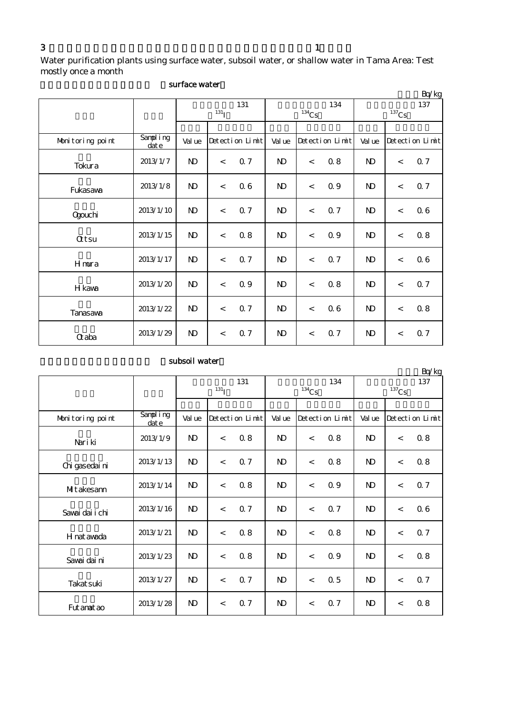Water purification plants using surface water, subsoil water, or shallow water in Tama Area: Test mostly once a month

|                  | DULIUVV MUUVL<br>Bq/kg |              |                 |     |                |                          |                 |                 |       |                 |  |  |  |  |
|------------------|------------------------|--------------|-----------------|-----|----------------|--------------------------|-----------------|-----------------|-------|-----------------|--|--|--|--|
|                  |                        |              | $^{131}$ I      | 131 |                | $134$ Cs                 | 134             | 137<br>$137$ Cs |       |                 |  |  |  |  |
|                  |                        |              |                 |     |                |                          |                 |                 |       |                 |  |  |  |  |
| Monitoring point | Sampling<br>date       | Val ue       | Detection Limit |     | Val ue         |                          | Detection Limit | Val ue          |       | Detection Limit |  |  |  |  |
| Tokura           | 2013/1/7               | $\mathbf{D}$ | $\lt$           | 0.7 | ND.            | $\,<$                    | 0.8             | $\mathbf{D}$    | $\lt$ | 0.7             |  |  |  |  |
| Fukasawa         | 2013/1/8               | $\mathbf{N}$ | $\lt$           | 06  | $\mathbf{N}$   | $\lt$                    | 0.9             | $\mathbf{D}$    | $\lt$ | 0.7             |  |  |  |  |
| Qgouchi          | 2013/1/10              | $\mathbf{D}$ | $\,<$           | 0.7 | $\mathbf{N}$   | $\,<$                    | 0.7             | $\mathbf{D}$    | $\lt$ | 06              |  |  |  |  |
| <b>Qtsu</b>      | 2013/1/15              | $\mathbf{D}$ | $\,<$           | 0.8 | $\mathbf{N}$   | $\,<$                    | 0.9             | $\mathbf{D}$    | $\lt$ | 0.8             |  |  |  |  |
| Hmura            | 2013/1/17              | $\mathbf{D}$ | $\,<$           | 0.7 | ND.            | $\,<$                    | 0.7             | $\mathbf{D}$    | $\lt$ | 06              |  |  |  |  |
| H kawa           | 2013/1/20              | $\mathbf{N}$ | $\lt$           | 0.9 | $\mathbf{N}$   | $\overline{\phantom{a}}$ | 0.8             | $\mathbf{D}$    | $\lt$ | <b>Q7</b>       |  |  |  |  |
| <b>Tanasava</b>  | 2013/1/22              | $\mathbf{D}$ | $\lt$           | 0.7 | $\mathbf{N}$   | $\overline{\phantom{a}}$ | 06              | $\mathbf{D}$    | $\lt$ | $0.8\,$         |  |  |  |  |
| <b>Q</b> aba     | 2013/1/29              | $\mathbf{D}$ | $\,<\,$         | 0.7 | N <sub>D</sub> | $\,<\,$                  | 0.7             | $\mathbf{D}$    | $\,<$ | 0.7             |  |  |  |  |

## surface water

## subsoil water

|                  |                      |                |            | 131             |                |                           | 134 | $L\psi$ ng<br>137 |         |                 |
|------------------|----------------------|----------------|------------|-----------------|----------------|---------------------------|-----|-------------------|---------|-----------------|
|                  |                      |                | $^{131}$ I |                 | $134$ Cs       |                           |     | $137$ Cs          |         |                 |
|                  |                      |                |            |                 |                |                           |     |                   |         |                 |
| Monitoring point | Sampling<br>$\det e$ | Val ue         |            | Detection Limit |                | Detection Limit<br>Val ue |     | Val ue            |         | Detection Limit |
| Nari ki          | 2013/1/9             | N <sub>D</sub> | $\lt$      | 0.8             | N <sub>D</sub> | $\overline{\phantom{a}}$  | 0.8 | $\mathbf{D}$      | $\,<$   | 08              |
| Chi gasedai ni   | 2013/1/13            | N <sub>D</sub> | $\,<\,$    | 0.7             | N <sub>D</sub> | $\overline{\phantom{a}}$  | 0.8 | ND.               | $\prec$ | 08              |
| MIt akesann      | 2013/1/14            | N <sub>D</sub> | $\lt$      | 0.8             | N <sub>D</sub> | $\prec$                   | 0.9 | $\mathbf{D}$      | $\lt$   | 0.7             |
| Savai dai i chi  | 2013/1/16            | $\mathbf{N}$   | $\prec$    | 0.7             | $\mathbf{D}$   | $\,<$                     | 0.7 | $\mathbf{D}$      | $\,<$   | 06              |
| H nat awada      | 2013/1/21            | $\mathbf{N}$   | $\lt$      | 0.8             | $\mathbf{N}$   | $\lt$                     | 0.8 | $\mathbf{D}$      | $\lt$   | <b>Q7</b>       |
| Savai dai ni     | 2013/1/23            | N <sub>D</sub> | $\,<\,$    | 0.8             | N <sub>D</sub> | $\overline{\phantom{a}}$  | Q 9 | $\mathbf{D}$      | $\prec$ | 0.8             |
| Takat suki       | 2013/1/27            | N)             | $\,<\,$    | 0.7             | ND.            | $\prec$                   | 0.5 | $\mathbf{D}$      | $\lt$   | 0.7             |
| Fut anat ao      | 2013/1/28            | N <sub>D</sub> | $\,<\,$    | 0.7             | $\mathbf{N}$   | $\,<\,$                   | 0.7 | $\mathbf{D}$      | $\,<$   | 0.8             |

 $Rq/kq$